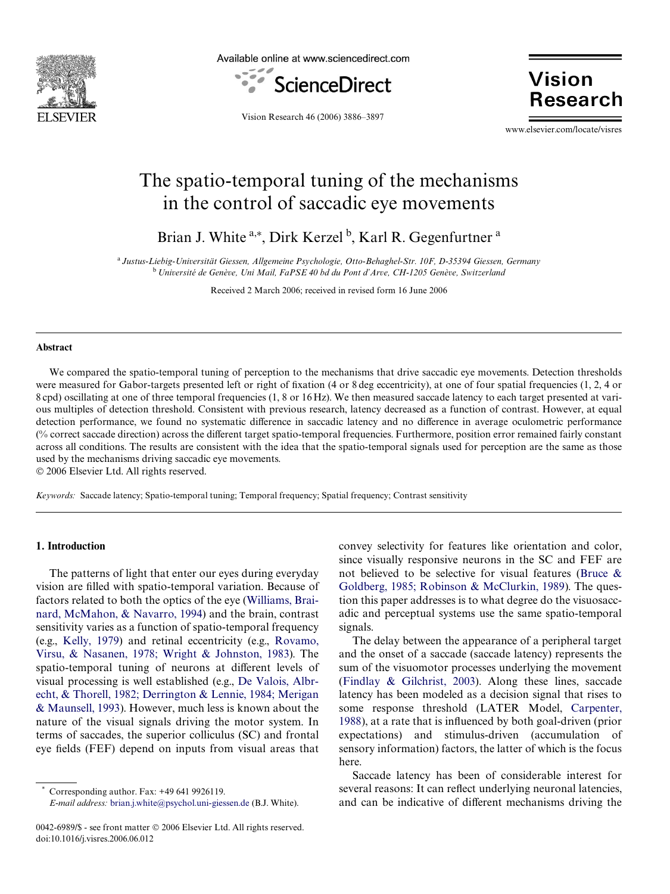

Available online at www.sciencedirect.com



**Vision Research** 

Vision Research 46 (2006) 3886–3897

www.elsevier.com/locate/visres

# The spatio-temporal tuning of the mechanisms in the control of saccadic eye movements

Brian J. White <sup>a,\*</sup>, Dirk Kerzel<sup>b</sup>, Karl R. Gegenfurtner<sup>a</sup>

<sup>a</sup>*Justus-Liebig-Universität Giessen, Allgemeine Psychologie, Otto-Behaghel-Str. 10F, D-35394 Giessen, Germany* <sup>b</sup>*Université de Genève, Uni Mail, FaPSE 40 bd du Pont d'Arve, CH-1205 Genève, Switzerland*

Received 2 March 2006; received in revised form 16 June 2006

#### **Abstract**

We compared the spatio-temporal tuning of perception to the mechanisms that drive saccadic eye movements. Detection thresholds were measured for Gabor-targets presented left or right of fixation (4 or 8 deg eccentricity), at one of four spatial frequencies (1, 2, 4 or 8 cpd) oscillating at one of three temporal frequencies (1, 8 or 16 Hz). We then measured saccade latency to each target presented at various multiples of detection threshold. Consistent with previous research, latency decreased as a function of contrast. However, at equal detection performance, we found no systematic difference in saccadic latency and no difference in average oculometric performance (% correct saccade direction) across the different target spatio-temporal frequencies. Furthermore, position error remained fairly constant across all conditions. The results are consistent with the idea that the spatio-temporal signals used for perception are the same as those used by the mechanisms driving saccadic eye movements.

© 2006 Elsevier Ltd. All rights reserved.

*Keywords:* Saccade latency; Spatio-temporal tuning; Temporal frequency; Spatial frequency; Contrast sensitivity

## **1. Introduction**

The patterns of light that enter our eyes during everyday vision are filled with spatio-temporal variation. Because of factors related to both the optics of the eye [\(Williams, Brai](#page-11-0)[nard, McMahon, & Navarro, 1994\)](#page-11-0) and the brain, contrast sensitivity varies as a function of spatio-temporal frequency (e.g., [Kelly, 1979\)](#page-11-1) and retinal eccentricity (e.g., [Rovamo,](#page-11-2) [Virsu, & Nasanen, 1978; Wright & Johnston, 1983](#page-11-2)). The spatio-temporal tuning of neurons at different levels of visual processing is well established (e.g., [De Valois, Albr](#page-11-3)[echt, & Thorell, 1982; Derrington & Lennie, 1984; Merigan](#page-11-3) [& Maunsell, 1993\)](#page-11-3). However, much less is known about the nature of the visual signals driving the motor system. In terms of saccades, the superior colliculus (SC) and frontal eye fields (FEF) depend on inputs from visual areas that

Corresponding author. Fax: +49 641 9926119.

*E-mail address:* [brian.j.white@psychol.uni-giessen.de](mailto: brian.j.white@psychol.uni-giessen.de) (B.J. White).

convey selectivity for features like orientation and color, since visually responsive neurons in the SC and FEF are not believed to be selective for visual features ([Bruce &](#page-11-4) [Goldberg, 1985; Robinson & McClurkin, 1989\)](#page-11-4). The question this paper addresses is to what degree do the visuosaccadic and perceptual systems use the same spatio-temporal signals.

The delay between the appearance of a peripheral target and the onset of a saccade (saccade latency) represents the sum of the visuomotor processes underlying the movement ([Findlay & Gilchrist, 2003](#page-11-5)). Along these lines, saccade latency has been modeled as a decision signal that rises to some response threshold (LATER Model, [Carpenter,](#page-11-6) [1988](#page-11-6)), at a rate that is influenced by both goal-driven (prior expectations) and stimulus-driven (accumulation of sensory information) factors, the latter of which is the focus here.

Saccade latency has been of considerable interest for several reasons: It can reflect underlying neuronal latencies, and can be indicative of different mechanisms driving the

<sup>0042-6989/\$ -</sup> see front matter © 2006 Elsevier Ltd. All rights reserved. doi:10.1016/j.visres.2006.06.012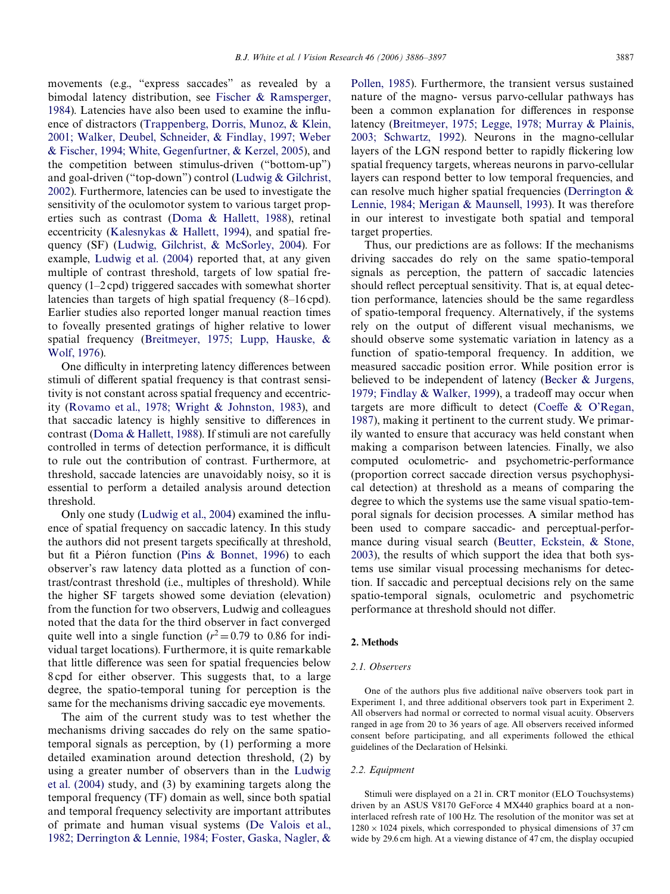movements (e.g., "express saccades" as revealed by a bimodal latency distribution, see [Fischer & Ramsperger,](#page-11-7) [1984\)](#page-11-7). Latencies have also been used to examine the influence of distractors ([Trappenberg, Dorris, Munoz, & Klein,](#page-11-8) [2001; Walker, Deubel, Schneider, & Findlay, 1997; Weber](#page-11-8) [& Fischer, 1994; White, Gegenfurtner, & Kerzel, 2005\)](#page-11-8), and the competition between stimulus-driven ("bottom-up") and goal-driven ("top-down") control [\(Ludwig & Gilchrist,](#page-11-9) [2002\)](#page-11-9). Furthermore, latencies can be used to investigate the sensitivity of the oculomotor system to various target properties such as contrast ([Doma & Hallett, 1988\)](#page-11-10), retinal eccentricity [\(Kalesnykas & Hallett, 1994](#page-11-11)), and spatial frequency (SF) [\(Ludwig, Gilchrist, & McSorley, 2004\)](#page-11-12). For example, [Ludwig et al. \(2004\)](#page-11-12) reported that, at any given multiple of contrast threshold, targets of low spatial frequency (1–2 cpd) triggered saccades with somewhat shorter latencies than targets of high spatial frequency (8–16 cpd). Earlier studies also reported longer manual reaction times to foveally presented gratings of higher relative to lower spatial frequency ([Breitmeyer, 1975; Lupp, Hauske, &](#page-10-0) [Wolf, 1976\)](#page-10-0).

One difficulty in interpreting latency differences between stimuli of different spatial frequency is that contrast sensitivity is not constant across spatial frequency and eccentricity [\(Rovamo et al., 1978; Wright & Johnston, 1983](#page-11-2)), and that saccadic latency is highly sensitive to differences in contrast ([Doma & Hallett, 1988](#page-11-10)). If stimuli are not carefully controlled in terms of detection performance, it is difficult to rule out the contribution of contrast. Furthermore, at threshold, saccade latencies are unavoidably noisy, so it is essential to perform a detailed analysis around detection threshold.

Only one study ([Ludwig et al., 2004\)](#page-11-12) examined the influence of spatial frequency on saccadic latency. In this study the authors did not present targets specifically at threshold, but fit a Piéron function ([Pins & Bonnet, 1996](#page-11-13)) to each observer's raw latency data plotted as a function of contrast/contrast threshold (i.e., multiples of threshold). While the higher SF targets showed some deviation (elevation) from the function for two observers, Ludwig and colleagues noted that the data for the third observer in fact converged quite well into a single function  $(r^2 = 0.79)$  to 0.86 for individual target locations). Furthermore, it is quite remarkable that little difference was seen for spatial frequencies below 8 cpd for either observer. This suggests that, to a large degree, the spatio-temporal tuning for perception is the same for the mechanisms driving saccadic eye movements.

The aim of the current study was to test whether the mechanisms driving saccades do rely on the same spatiotemporal signals as perception, by (1) performing a more detailed examination around detection threshold, (2) by using a greater number of observers than in the [Ludwig](#page-11-12) [et al. \(2004\)](#page-11-12) study, and (3) by examining targets along the temporal frequency (TF) domain as well, since both spatial and temporal frequency selectivity are important attributes of primate and human visual systems ([De Valois et al.,](#page-11-3) [1982; Derrington & Lennie, 1984; Foster, Gaska, Nagler, &](#page-11-3) [Pollen, 1985\)](#page-11-3). Furthermore, the transient versus sustained nature of the magno- versus parvo-cellular pathways has been a common explanation for differences in response latency [\(Breitmeyer, 1975; Legge, 1978; Murray & Plainis,](#page-10-0) [2003; Schwartz, 1992](#page-10-0)). Neurons in the magno-cellular layers of the LGN respond better to rapidly flickering low spatial frequency targets, whereas neurons in parvo-cellular layers can respond better to low temporal frequencies, and can resolve much higher spatial frequencies ([Derrington &](#page-11-14) [Lennie, 1984; Merigan & Maunsell, 1993](#page-11-14)). It was therefore in our interest to investigate both spatial and temporal target properties.

Thus, our predictions are as follows: If the mechanisms driving saccades do rely on the same spatio-temporal signals as perception, the pattern of saccadic latencies should reflect perceptual sensitivity. That is, at equal detection performance, latencies should be the same regardless of spatio-temporal frequency. Alternatively, if the systems rely on the output of different visual mechanisms, we should observe some systematic variation in latency as a function of spatio-temporal frequency. In addition, we measured saccadic position error. While position error is believed to be independent of latency ([Becker & Jurgens,](#page-10-1) [1979; Findlay & Walker, 1999\)](#page-10-1), a tradeoff may occur when targets are more difficult to detect ([Coe](#page-11-15)ffe  $\&$  O'Regan, [1987](#page-11-15)), making it pertinent to the current study. We primarily wanted to ensure that accuracy was held constant when making a comparison between latencies. Finally, we also computed oculometric- and psychometric-performance (proportion correct saccade direction versus psychophysical detection) at threshold as a means of comparing the degree to which the systems use the same visual spatio-temporal signals for decision processes. A similar method has been used to compare saccadic- and perceptual-performance during visual search [\(Beutter, Eckstein, & Stone,](#page-10-2) [2003](#page-10-2)), the results of which support the idea that both systems use similar visual processing mechanisms for detection. If saccadic and perceptual decisions rely on the same spatio-temporal signals, oculometric and psychometric performance at threshold should not differ.

## <span id="page-1-0"></span>**2. Methods**

#### *2.1. Observers*

One of the authors plus five additional naïve observers took part in Experiment 1, and three additional observers took part in Experiment 2. All observers had normal or corrected to normal visual acuity. Observers ranged in age from 20 to 36 years of age. All observers received informed consent before participating, and all experiments followed the ethical guidelines of the Declaration of Helsinki.

#### *2.2. Equipment*

Stimuli were displayed on a 21 in. CRT monitor (ELO Touchsystems) driven by an ASUS V8170 GeForce 4 MX440 graphics board at a noninterlaced refresh rate of 100 Hz. The resolution of the monitor was set at  $1280 \times 1024$  pixels, which corresponded to physical dimensions of 37 cm wide by 29.6 cm high. At a viewing distance of 47 cm, the display occupied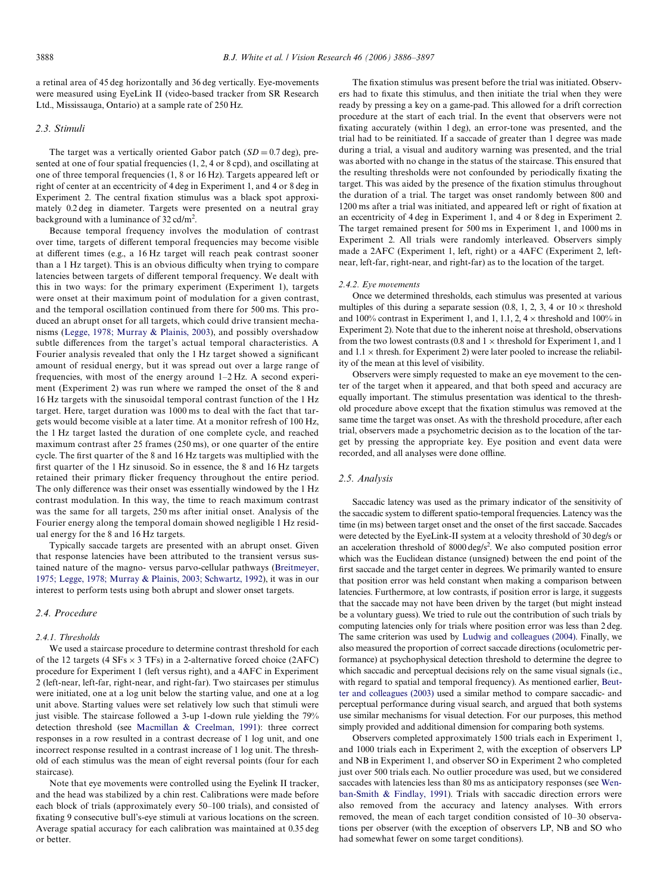a retinal area of 45 deg horizontally and 36 deg vertically. Eye-movements were measured using EyeLink II (video-based tracker from SR Research Ltd., Mississauga, Ontario) at a sample rate of 250 Hz.

#### *2.3. Stimuli*

The target was a vertically oriented Gabor patch  $(SD = 0.7 \text{ deg})$ , presented at one of four spatial frequencies (1, 2, 4 or 8 cpd), and oscillating at one of three temporal frequencies (1, 8 or 16 Hz). Targets appeared left or right of center at an eccentricity of 4 deg in Experiment 1, and 4 or 8 deg in Experiment 2. The central fixation stimulus was a black spot approximately 0.2 deg in diameter. Targets were presented on a neutral gray background with a luminance of  $32 \text{ cd/m}^2$ .

Because temporal frequency involves the modulation of contrast over time, targets of different temporal frequencies may become visible at different times (e.g., a 16 Hz target will reach peak contrast sooner than a 1 Hz target). This is an obvious difficulty when trying to compare latencies between targets of different temporal frequency. We dealt with this in two ways: for the primary experiment (Experiment 1), targets were onset at their maximum point of modulation for a given contrast, and the temporal oscillation continued from there for 500 ms. This produced an abrupt onset for all targets, which could drive transient mechanisms [\(Legge, 1978; Murray & Plainis, 2003\)](#page-11-16), and possibly overshadow subtle differences from the target's actual temporal characteristics. A Fourier analysis revealed that only the 1 Hz target showed a significant amount of residual energy, but it was spread out over a large range of frequencies, with most of the energy around 1–2 Hz. A second experiment (Experiment 2) was run where we ramped the onset of the 8 and 16 Hz targets with the sinusoidal temporal contrast function of the 1 Hz target. Here, target duration was 1000 ms to deal with the fact that targets would become visible at a later time. At a monitor refresh of 100 Hz, the 1 Hz target lasted the duration of one complete cycle, and reached maximum contrast after 25 frames (250 ms), or one quarter of the entire cycle. The first quarter of the 8 and 16 Hz targets was multiplied with the first quarter of the  $1$  Hz sinusoid. So in essence, the  $8$  and  $16$  Hz targets retained their primary flicker frequency throughout the entire period. The only difference was their onset was essentially windowed by the 1 Hz contrast modulation. In this way, the time to reach maximum contrast was the same for all targets, 250 ms after initial onset. Analysis of the Fourier energy along the temporal domain showed negligible 1 Hz residual energy for the 8 and 16 Hz targets.

Typically saccade targets are presented with an abrupt onset. Given that response latencies have been attributed to the transient versus sustained nature of the magno- versus parvo-cellular pathways [\(Breitmeyer,](#page-10-0) [1975; Legge, 1978; Murray & Plainis, 2003; Schwartz, 1992\)](#page-10-0), it was in our interest to perform tests using both abrupt and slower onset targets.

#### *2.4. Procedure*

#### *2.4.1. Thresholds*

We used a staircase procedure to determine contrast threshold for each of the 12 targets (4  $SFs \times 3$  TFs) in a 2-alternative forced choice (2AFC) procedure for Experiment 1 (left versus right), and a 4AFC in Experiment 2 (left-near, left-far, right-near, and right-far). Two staircases per stimulus were initiated, one at a log unit below the starting value, and one at a log unit above. Starting values were set relatively low such that stimuli were just visible. The staircase followed a 3-up 1-down rule yielding the 79% detection threshold (see [Macmillan & Creelman, 1991\)](#page-11-17): three correct responses in a row resulted in a contrast decrease of 1 log unit, and one incorrect response resulted in a contrast increase of 1 log unit. The threshold of each stimulus was the mean of eight reversal points (four for each staircase).

Note that eye movements were controlled using the Eyelink II tracker, and the head was stabilized by a chin rest. Calibrations were made before each block of trials (approximately every 50–100 trials), and consisted of fixating 9 consecutive bull's-eye stimuli at various locations on the screen. Average spatial accuracy for each calibration was maintained at 0.35 deg or better.

The fixation stimulus was present before the trial was initiated. Observers had to fixate this stimulus, and then initiate the trial when they were ready by pressing a key on a game-pad. This allowed for a drift correction procedure at the start of each trial. In the event that observers were not fixating accurately (within 1 deg), an error-tone was presented, and the trial had to be reinitiated. If a saccade of greater than 1 degree was made during a trial, a visual and auditory warning was presented, and the trial was aborted with no change in the status of the staircase. This ensured that the resulting thresholds were not confounded by periodically fixating the target. This was aided by the presence of the fixation stimulus throughout the duration of a trial. The target was onset randomly between 800 and 1200 ms after a trial was initiated, and appeared left or right of fixation at an eccentricity of 4 deg in Experiment 1, and 4 or 8 deg in Experiment 2. The target remained present for 500 ms in Experiment 1, and 1000 ms in Experiment 2. All trials were randomly interleaved. Observers simply made a 2AFC (Experiment 1, left, right) or a 4AFC (Experiment 2, leftnear, left-far, right-near, and right-far) as to the location of the target.

#### *2.4.2. Eye movements*

Once we determined thresholds, each stimulus was presented at various multiples of this during a separate session (0.8, 1, 2, 3, 4 or  $10 \times$  threshold and 100% contrast in Experiment 1, and 1, 1.1, 2,  $4 \times$  threshold and 100% in Experiment 2). Note that due to the inherent noise at threshold, observations from the two lowest contrasts (0.8 and  $1 \times$  threshold for Experiment 1, and 1 and  $1.1 \times$  thresh. for Experiment 2) were later pooled to increase the reliability of the mean at this level of visibility.

Observers were simply requested to make an eye movement to the center of the target when it appeared, and that both speed and accuracy are equally important. The stimulus presentation was identical to the threshold procedure above except that the fixation stimulus was removed at the same time the target was onset. As with the threshold procedure, after each trial, observers made a psychometric decision as to the location of the target by pressing the appropriate key. Eye position and event data were recorded, and all analyses were done offline.

#### *2.5. Analysis*

Saccadic latency was used as the primary indicator of the sensitivity of the saccadic system to different spatio-temporal frequencies. Latency was the time (in ms) between target onset and the onset of the first saccade. Saccades were detected by the EyeLink-II system at a velocity threshold of 30 deg/s or an acceleration threshold of  $8000 \text{ deg/s}^2$ . We also computed position error which was the Euclidean distance (unsigned) between the end point of the first saccade and the target center in degrees. We primarily wanted to ensure that position error was held constant when making a comparison between latencies. Furthermore, at low contrasts, if position error is large, it suggests that the saccade may not have been driven by the target (but might instead be a voluntary guess). We tried to rule out the contribution of such trials by computing latencies only for trials where position error was less than 2 deg. The same criterion was used by [Ludwig and colleagues \(2004\).](#page-11-12) Finally, we also measured the proportion of correct saccade directions (oculometric performance) at psychophysical detection threshold to determine the degree to which saccadic and perceptual decisions rely on the same visual signals (i.e., with regard to spatial and temporal frequency). As mentioned earlier, [Beut](#page-10-2)[ter and colleagues \(2003\)](#page-10-2) used a similar method to compare saccadic- and perceptual performance during visual search, and argued that both systems use similar mechanisms for visual detection. For our purposes, this method simply provided and additional dimension for comparing both systems.

Observers completed approximately 1500 trials each in Experiment 1, and 1000 trials each in Experiment 2, with the exception of observers LP and NB in Experiment 1, and observer SO in Experiment 2 who completed just over 500 trials each. No outlier procedure was used, but we considered saccades with latencies less than 80 ms as anticipatory responses (see [Wen](#page-11-18)[ban-Smith & Findlay, 1991](#page-11-18)). Trials with saccadic direction errors were also removed from the accuracy and latency analyses. With errors removed, the mean of each target condition consisted of 10–30 observations per observer (with the exception of observers LP, NB and SO who had somewhat fewer on some target conditions).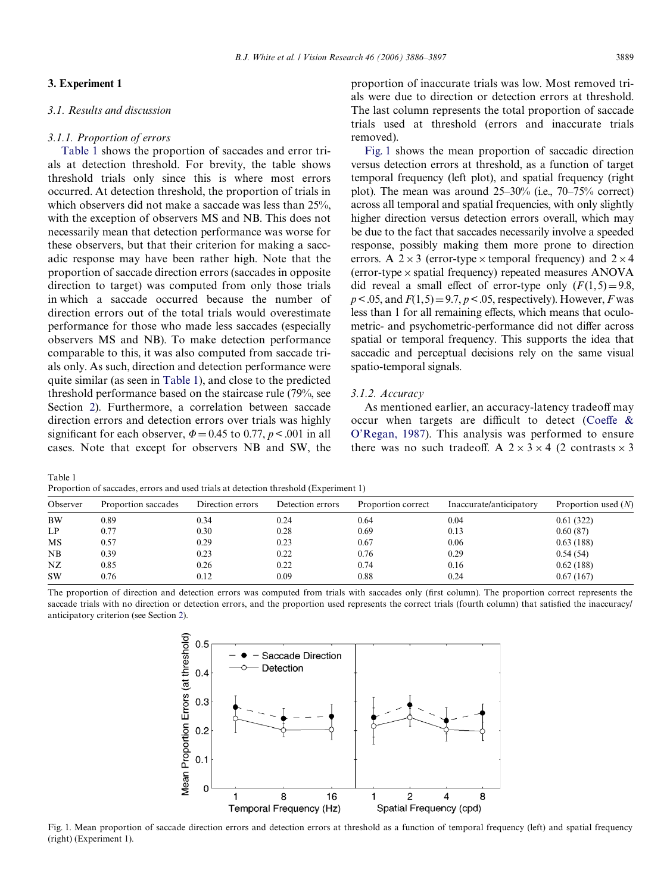# **3. Experiment 1**

<span id="page-3-0"></span>Table 1

# *3.1. Results and discussion*

# *3.1.1. Proportion of errors*

[Table 1](#page-3-0) shows the proportion of saccades and error trials at detection threshold. For brevity, the table shows threshold trials only since this is where most errors occurred. At detection threshold, the proportion of trials in which observers did not make a saccade was less than 25%, with the exception of observers MS and NB. This does not necessarily mean that detection performance was worse for these observers, but that their criterion for making a saccadic response may have been rather high. Note that the proportion of saccade direction errors (saccades in opposite direction to target) was computed from only those trials in which a saccade occurred because the number of direction errors out of the total trials would overestimate performance for those who made less saccades (especially observers MS and NB). To make detection performance comparable to this, it was also computed from saccade trials only. As such, direction and detection performance were quite similar (as seen in [Table 1\)](#page-3-0), and close to the predicted threshold performance based on the staircase rule (79%, see Section [2](#page-1-0)). Furthermore, a correlation between saccade direction errors and detection errors over trials was highly significant for each observer,  $\Phi = 0.45$  to 0.77,  $p < .001$  in all cases. Note that except for observers NB and SW, the

[Fig. 1](#page-3-1) shows the mean proportion of saccadic direction versus detection errors at threshold, as a function of target temporal frequency (left plot), and spatial frequency (right plot). The mean was around 25–30% (i.e., 70–75% correct) across all temporal and spatial frequencies, with only slightly higher direction versus detection errors overall, which may be due to the fact that saccades necessarily involve a speeded response, possibly making them more prone to direction errors. A  $2 \times 3$  (error-type  $\times$  temporal frequency) and  $2 \times 4$ (error-type  $\times$  spatial frequency) repeated measures ANOVA did reveal a small effect of error-type only  $(F(1,5)=9.8$ ,  $p < 0.05$ , and  $F(1,5) = 9.7$ ,  $p < 0.05$ , respectively). However, *F* was less than 1 for all remaining effects, which means that oculometric- and psychometric-performance did not differ across spatial or temporal frequency. This supports the idea that saccadic and perceptual decisions rely on the same visual spatio-temporal signals.

# *3.1.2. Accuracy*

As mentioned earlier, an accuracy-latency tradeoff may occur when targets are difficult to detect [\(Coe](#page-11-15)ffe  $\&$ [O'Regan, 1987\)](#page-11-15). This analysis was performed to ensure there was no such tradeoff. A  $2 \times 3 \times 4$  (2 contrasts  $\times 3$ )

Proportion of saccades, errors and used trials at detection threshold (Experiment 1) Observer Proportion saccades Direction errors Detection errors Proportion correct Inaccurate/anticipatory Proportion used (*N*) BW 0.89 0.34 0.24 0.64 0.04 0.61 (322) LP  $0.77$   $0.30$   $0.28$   $0.69$   $0.13$   $0.60(87)$ MS 0.57 0.29 0.23 0.67 0.06 0.63 (188) NB 0.39 0.23 0.22 0.76 0.29 0.54 (54) NZ 0.85 0.26 0.22 0.74 0.16 0.62 (188) SW 0.76 0.12 0.09 0.88 0.24 0.67 (167)

The proportion of direction and detection errors was computed from trials with saccades only (first column). The proportion correct represents the saccade trials with no direction or detection errors, and the proportion used represents the correct trials (fourth column) that satisfied the inaccuracy/ anticipatory criterion (see Section [2\)](#page-1-0).



<span id="page-3-1"></span>Fig. 1. Mean proportion of saccade direction errors and detection errors at threshold as a function of temporal frequency (left) and spatial frequency (right) (Experiment 1).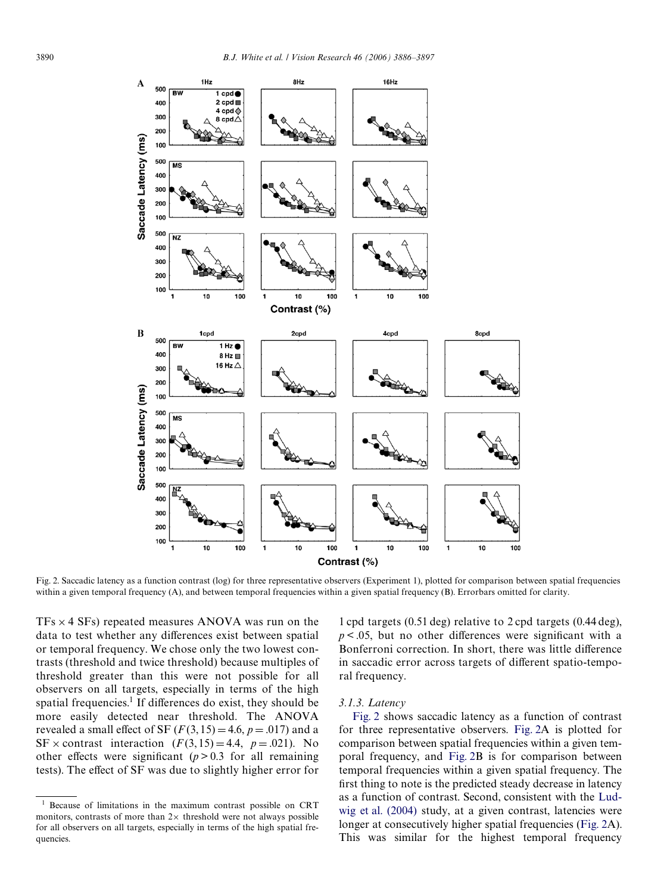

<span id="page-4-0"></span>Fig. 2. Saccadic latency as a function contrast (log) for three representative observers (Experiment 1), plotted for comparison between spatial frequencies within a given temporal frequency (A), and between temporal frequencies within a given spatial frequency (B). Errorbars omitted for clarity.

 $TFs \times 4$  SFs) repeated measures ANOVA was run on the data to test whether any differences exist between spatial or temporal frequency. We chose only the two lowest contrasts (threshold and twice threshold) because multiples of threshold greater than this were not possible for all observers on all targets, especially in terms of the high spatial frequencies.<sup>1</sup> If differences do exist, they should be more easily detected near threshold. The ANOVA revealed a small effect of SF  $(F(3, 15) = 4.6, p = .017)$  and a SF  $\times$  contrast interaction  $(F(3, 15) = 4.4, p = .021)$ . No other effects were significant  $(p > 0.3$  for all remaining tests). The effect of SF was due to slightly higher error for

1 cpd targets (0.51 deg) relative to 2 cpd targets (0.44 deg),  $p < .05$ , but no other differences were significant with a Bonferroni correction. In short, there was little difference in saccadic error across targets of different spatio-temporal frequency.

# *3.1.3. Latency*

[Fig. 2](#page-4-0) shows saccadic latency as a function of contrast for three representative observers. [Fig. 2A](#page-4-0) is plotted for comparison between spatial frequencies within a given temporal frequency, and [Fig. 2B](#page-4-0) is for comparison between temporal frequencies within a given spatial frequency. The first thing to note is the predicted steady decrease in latency as a function of contrast. Second, consistent with the [Lud](#page-11-12)[wig et al. \(2004\)](#page-11-12) study, at a given contrast, latencies were longer at consecutively higher spatial frequencies ([Fig. 2A](#page-4-0)). This was similar for the highest temporal frequency

<sup>1</sup> Because of limitations in the maximum contrast possible on CRT monitors, contrasts of more than  $2 \times$  threshold were not always possible for all observers on all targets, especially in terms of the high spatial frequencies.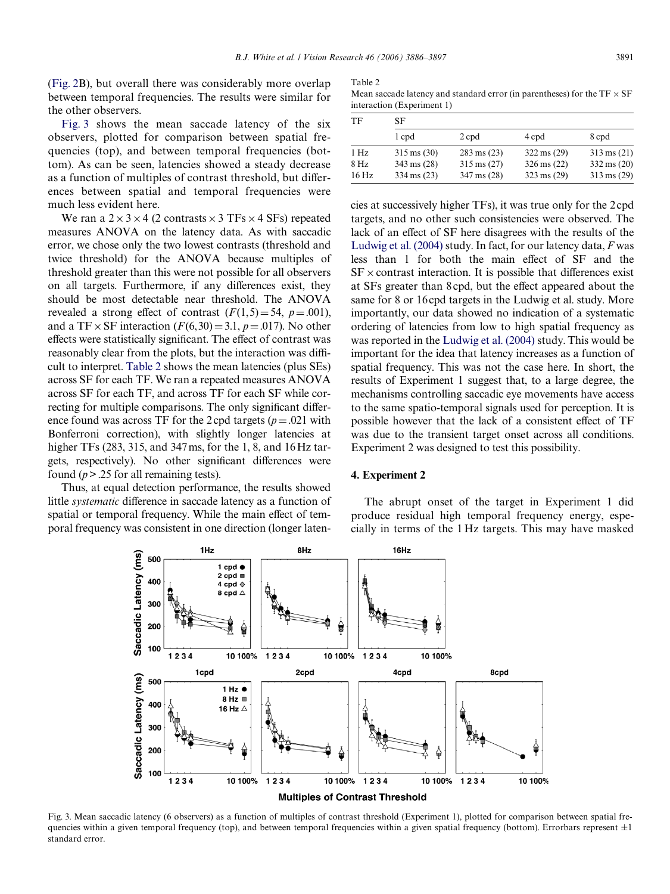([Fig. 2B](#page-4-0)), but overall there was considerably more overlap between temporal frequencies. The results were similar for the other observers.

[Fig. 3](#page-5-0) shows the mean saccade latency of the six observers, plotted for comparison between spatial frequencies (top), and between temporal frequencies (bottom). As can be seen, latencies showed a steady decrease as a function of multiples of contrast threshold, but differences between spatial and temporal frequencies were much less evident here.

We ran a  $2 \times 3 \times 4$  (2 contrasts  $\times 3$  TFs  $\times$  4 SFs) repeated measures ANOVA on the latency data. As with saccadic error, we chose only the two lowest contrasts (threshold and twice threshold) for the ANOVA because multiples of threshold greater than this were not possible for all observers on all targets. Furthermore, if any differences exist, they should be most detectable near threshold. The ANOVA revealed a strong effect of contrast  $(F(1,5)=54, p=.001)$ , and a TF  $\times$  SF interaction ( $F(6,30) = 3.1$ ,  $p = .017$ ). No other effects were statistically significant. The effect of contrast was reasonably clear from the plots, but the interaction was difficult to interpret. [Table 2](#page-5-1) shows the mean latencies (plus SEs) across SF for each TF. We ran a repeated measures ANOVA across SF for each TF, and across TF for each SF while correcting for multiple comparisons. The only significant difference found was across TF for the 2 cpd targets ( $p = .021$  with Bonferroni correction), with slightly longer latencies at higher TFs (283, 315, and 347ms, for the 1, 8, and 16 Hz targets, respectively). No other significant differences were found (*p*> .25 for all remaining tests).

Thus, at equal detection performance, the results showed little *systematic* difference in saccade latency as a function of spatial or temporal frequency. While the main effect of temporal frequency was consistent in one direction (longer laten-

#### <span id="page-5-1"></span>Table 2

Mean saccade latency and standard error (in parentheses) for the  $TF \times SF$ interaction (Experiment 1)

| SF                    |                       |                       |                       |  |  |
|-----------------------|-----------------------|-----------------------|-----------------------|--|--|
| 1 cpd                 | 2 cpd                 | 4 cpd                 | 8 cpd                 |  |  |
| $315 \text{ ms} (30)$ | $283 \text{ ms} (23)$ | $322 \text{ ms} (29)$ | $313 \text{ ms} (21)$ |  |  |
| $343 \text{ ms} (28)$ | $315 \text{ ms} (27)$ | $326 \text{ ms} (22)$ | $332 \text{ ms} (20)$ |  |  |
| $334 \text{ ms} (23)$ | $347 \text{ ms} (28)$ | $323 \text{ ms} (29)$ | $313 \text{ ms} (29)$ |  |  |
|                       |                       |                       |                       |  |  |

cies at successively higher TFs), it was true only for the 2cpd targets, and no other such consistencies were observed. The lack of an effect of SF here disagrees with the results of the [Ludwig et al. \(2004\)](#page-11-12) study. In fact, for our latency data, *F* was less than 1 for both the main effect of SF and the  $SF \times$  contrast interaction. It is possible that differences exist at SFs greater than 8 cpd, but the effect appeared about the same for 8 or 16cpd targets in the Ludwig et al. study. More importantly, our data showed no indication of a systematic ordering of latencies from low to high spatial frequency as was reported in the [Ludwig et al. \(2004\)](#page-11-12) study. This would be important for the idea that latency increases as a function of spatial frequency. This was not the case here. In short, the results of Experiment 1 suggest that, to a large degree, the mechanisms controlling saccadic eye movements have access to the same spatio-temporal signals used for perception. It is possible however that the lack of a consistent effect of TF was due to the transient target onset across all conditions. Experiment 2 was designed to test this possibility.

## **4. Experiment 2**



<span id="page-5-0"></span>Fig. 3. Mean saccadic latency (6 observers) as a function of multiples of contrast threshold (Experiment 1), plotted for comparison between spatial frequencies within a given temporal frequency (top), and between temporal frequencies within a given spatial frequency (bottom). Errorbars represent  $\pm 1$ standard error.

The abrupt onset of the target in Experiment 1 did produce residual high temporal frequency energy, especially in terms of the 1 Hz targets. This may have masked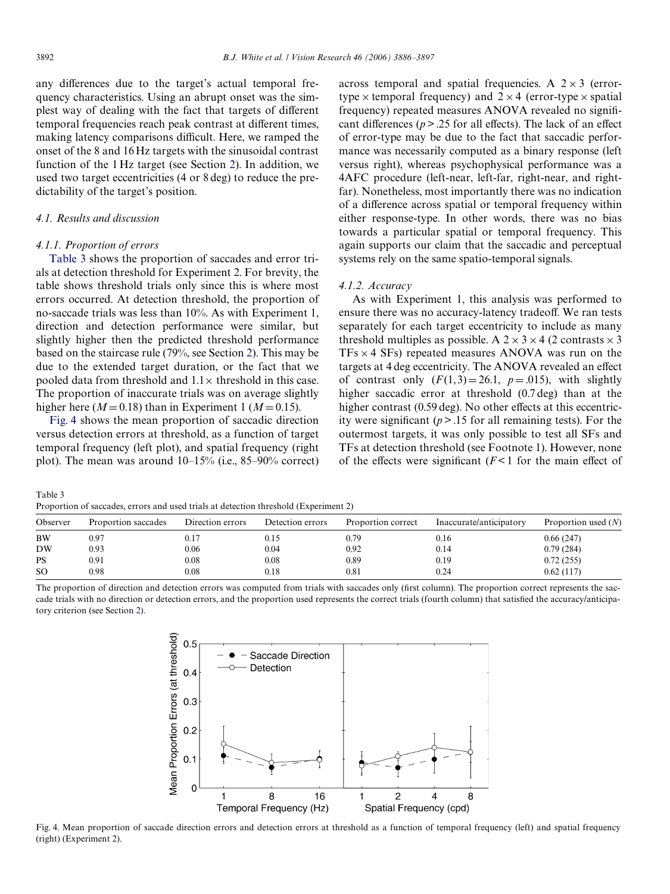any differences due to the target's actual temporal frequency characteristics. Using an abrupt onset was the simplest way of dealing with the fact that targets of different temporal frequencies reach peak contrast at different times, making latency comparisons difficult. Here, we ramped the onset of the 8 and 16 Hz targets with the sinusoidal contrast function of the 1 Hz target (see Section [2](#page-1-0)). In addition, we used two target eccentricities (4 or 8 deg) to reduce the predictability of the target's position.

## *4.1. Results and discussion*

## *4.1.1. Proportion of errors*

[Table 3](#page-6-0) shows the proportion of saccades and error trials at detection threshold for Experiment 2. For brevity, the table shows threshold trials only since this is where most errors occurred. At detection threshold, the proportion of no-saccade trials was less than 10%. As with Experiment 1, direction and detection performance were similar, but slightly higher then the predicted threshold performance based on the staircase rule (79%, see Section [2](#page-1-0)). This may be due to the extended target duration, or the fact that we pooled data from threshold and  $1.1 \times$  threshold in this case. The proportion of inaccurate trials was on average slightly higher here ( $M = 0.18$ ) than in Experiment 1 ( $M = 0.15$ ).

[Fig. 4](#page-6-1) shows the mean proportion of saccadic direction versus detection errors at threshold, as a function of target temporal frequency (left plot), and spatial frequency (right plot). The mean was around 10–15% (i.e., 85–90% correct)

across temporal and spatial frequencies. A  $2 \times 3$  (errortype  $\times$  temporal frequency) and  $2 \times 4$  (error-type  $\times$  spatial frequency) repeated measures ANOVA revealed no significant differences ( $p > .25$  for all effects). The lack of an effect of error-type may be due to the fact that saccadic performance was necessarily computed as a binary response (left versus right), whereas psychophysical performance was a 4AFC procedure (left-near, left-far, right-near, and rightfar). Nonetheless, most importantly there was no indication of a difference across spatial or temporal frequency within either response-type. In other words, there was no bias towards a particular spatial or temporal frequency. This again supports our claim that the saccadic and perceptual systems rely on the same spatio-temporal signals.

#### *4.1.2. Accuracy*

As with Experiment 1, this analysis was performed to ensure there was no accuracy-latency tradeoff. We ran tests separately for each target eccentricity to include as many threshold multiples as possible. A  $2 \times 3 \times 4$  (2 contrasts  $\times 3$ )  $TFs \times 4$  SFs) repeated measures ANOVA was run on the targets at 4 deg eccentricity. The ANOVA revealed an effect of contrast only  $(F(1,3)=26.1, p=.015)$ , with slightly higher saccadic error at threshold (0.7 deg) than at the higher contrast (0.59 deg). No other effects at this eccentricity were significant  $(p > 0.15$  for all remaining tests). For the outermost targets, it was only possible to test all SFs and TFs at detection threshold (see Footnote 1). However, none of the effects were significant  $(F<1$  for the main effect of

<span id="page-6-0"></span>Table 3 Proportion of saccades, errors and used trials at detection threshold (Experiment 2)

| Proportion saccades | Direction errors | Detection errors | Proportion correct | Inaccurate/anticipatory | Proportion used $(N)$ |
|---------------------|------------------|------------------|--------------------|-------------------------|-----------------------|
| 0.97                | 0.17             | 0.15             | 0.79               | 0.16                    | 0.66(247)             |
| 0.93                | 0.06             | 0.04             | 0.92               | 0.14                    | 0.79(284)             |
| 0.91                | 0.08             | 0.08             | 0.89               | 0.19                    | 0.72(255)             |
| 0.98                | 0.08             | 0.18             | 0.81               | 0.24                    | 0.62(117)             |
|                     |                  |                  |                    |                         |                       |

The proportion of direction and detection errors was computed from trials with saccades only (first column). The proportion correct represents the saccade trials with no direction or detection errors, and the proportion used represents the correct trials (fourth column) that satisfied the accuracy/anticipatory criterion (see Section [2\)](#page-1-0).



<span id="page-6-1"></span>Fig. 4. Mean proportion of saccade direction errors and detection errors at threshold as a function of temporal frequency (left) and spatial frequency (right) (Experiment 2).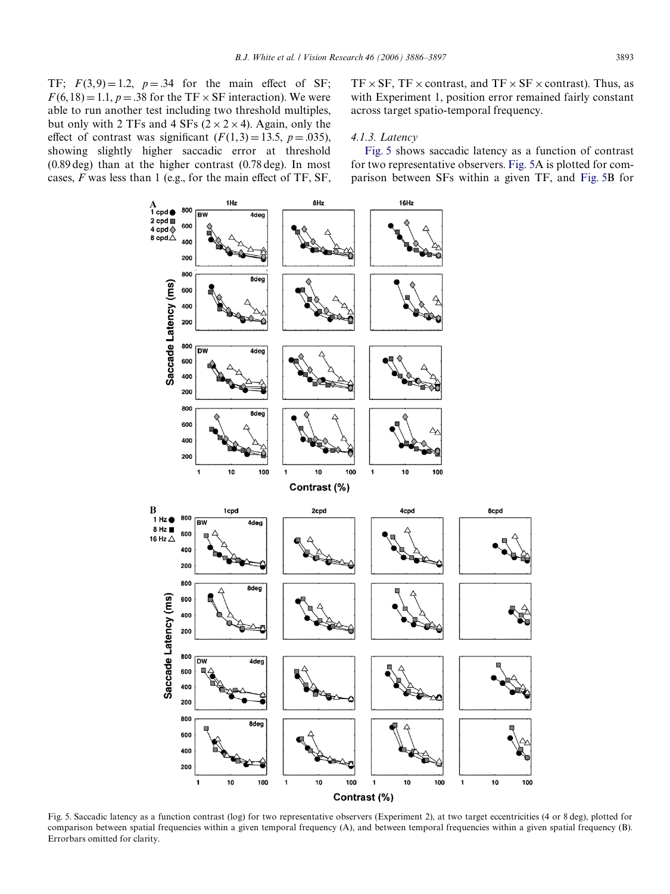TF;  $F(3, 9) = 1.2$ ,  $p = .34$  for the main effect of SF;  $F(6, 18) = 1.1$ ,  $p = .38$  for the TF  $\times$  SF interaction). We were able to run another test including two threshold multiples, but only with 2 TFs and 4 SFs ( $2 \times 2 \times 4$ ). Again, only the effect of contrast was significant  $(F(1,3) = 13.5, p = .035)$ , showing slightly higher saccadic error at threshold (0.89 deg) than at the higher contrast (0.78 deg). In most cases,  $F$  was less than 1 (e.g., for the main effect of TF, SF,  $TF \times SF$ , TF  $\times$  contrast, and TF  $\times$  SF  $\times$  contrast). Thus, as with Experiment 1, position error remained fairly constant across target spatio-temporal frequency.

## *4.1.3. Latency*

[Fig. 5](#page-7-0) shows saccadic latency as a function of contrast for two representative observers. [Fig. 5A](#page-7-0) is plotted for comparison between SFs within a given TF, and [Fig. 5B](#page-7-0) for



<span id="page-7-0"></span>Fig. 5. Saccadic latency as a function contrast (log) for two representative observers (Experiment 2), at two target eccentricities (4 or 8 deg), plotted for comparison between spatial frequencies within a given temporal frequency (A), and between temporal frequencies within a given spatial frequency (B). Errorbars omitted for clarity.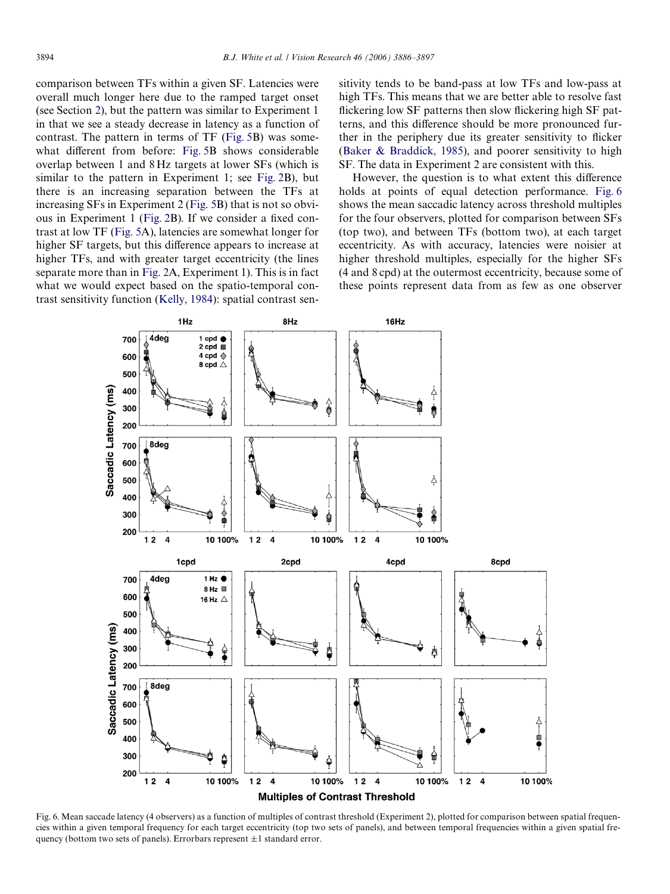comparison between TFs within a given SF. Latencies were overall much longer here due to the ramped target onset (see Section [2\)](#page-1-0), but the pattern was similar to Experiment 1 in that we see a steady decrease in latency as a function of contrast. The pattern in terms of TF [\(Fig. 5](#page-7-0)B) was some-what different from before: [Fig. 5B](#page-7-0) shows considerable overlap between 1 and 8 Hz targets at lower SFs (which is similar to the pattern in Experiment 1; see [Fig. 2](#page-4-0)B), but there is an increasing separation between the TFs at increasing SFs in Experiment 2 [\(Fig. 5](#page-7-0)B) that is not so obvi-ous in Experiment 1 [\(Fig. 2](#page-4-0)B). If we consider a fixed contrast at low TF ([Fig. 5A](#page-7-0)), latencies are somewhat longer for higher SF targets, but this difference appears to increase at higher TFs, and with greater target eccentricity (the lines separate more than in [Fig. 2A](#page-4-0), Experiment 1). This is in fact what we would expect based on the spatio-temporal contrast sensitivity function [\(Kelly, 1984](#page-11-19)): spatial contrast sensitivity tends to be band-pass at low TFs and low-pass at high TFs. This means that we are better able to resolve fast flickering low SF patterns then slow flickering high SF patterns, and this difference should be more pronounced further in the periphery due its greater sensitivity to flicker ([Baker & Braddick, 1985\)](#page-10-3), and poorer sensitivity to high SF. The data in Experiment 2 are consistent with this.

However, the question is to what extent this difference holds at points of equal detection performance. [Fig. 6](#page-8-0) shows the mean saccadic latency across threshold multiples for the four observers, plotted for comparison between SFs (top two), and between TFs (bottom two), at each target eccentricity. As with accuracy, latencies were noisier at higher threshold multiples, especially for the higher SFs (4 and 8 cpd) at the outermost eccentricity, because some of these points represent data from as few as one observer



<span id="page-8-0"></span>Fig. 6. Mean saccade latency (4 observers) as a function of multiples of contrast threshold (Experiment 2), plotted for comparison between spatial frequencies within a given temporal frequency for each target eccentricity (top two sets of panels), and between temporal frequencies within a given spatial frequency (bottom two sets of panels). Errorbars represent  $\pm 1$  standard error.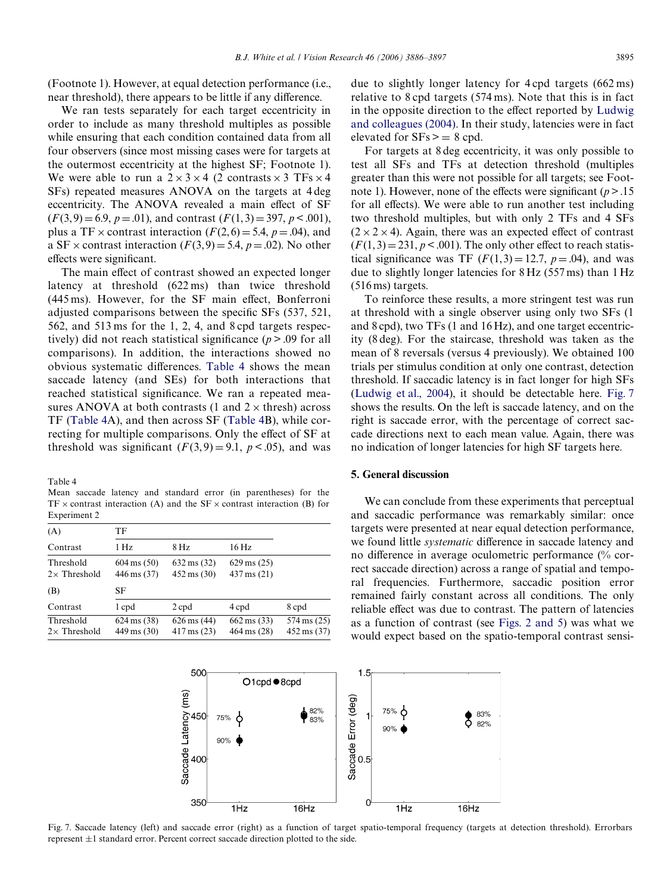(Footnote 1). However, at equal detection performance (i.e., near threshold), there appears to be little if any difference.

We ran tests separately for each target eccentricity in order to include as many threshold multiples as possible while ensuring that each condition contained data from all four observers (since most missing cases were for targets at the outermost eccentricity at the highest SF; Footnote 1). We were able to run a  $2 \times 3 \times 4$  (2 contrasts  $\times 3$  TFs  $\times 4$ SFs) repeated measures ANOVA on the targets at 4 deg eccentricity. The ANOVA revealed a main effect of SF  $(F(3, 9) = 6.9, p = .01)$ , and contrast  $(F(1, 3) = 397, p < .001)$ , plus a TF  $\times$  contrast interaction ( $F(2, 6) = 5.4$ ,  $p = .04$ ), and a SF  $\times$  contrast interaction ( $F(3,9) = 5.4$ ,  $p = .02$ ). No other effects were significant.

The main effect of contrast showed an expected longer latency at threshold (622 ms) than twice threshold  $(445 \,\mathrm{ms})$ . However, for the SF main effect, Bonferroni adjusted comparisons between the specific  $SFs$  (537, 521, 562, and 513 ms for the 1, 2, 4, and 8 cpd targets respectively) did not reach statistical significance  $(p > .09$  for all comparisons). In addition, the interactions showed no obvious systematic differences. [Table 4](#page-9-0) shows the mean saccade latency (and SEs) for both interactions that reached statistical significance. We ran a repeated measures ANOVA at both contrasts (1 and  $2 \times$  thresh) across TF ([Table 4](#page-9-0)A), and then across SF ([Table 4](#page-9-0)B), while correcting for multiple comparisons. Only the effect of SF at threshold was significant  $(F(3, 9) = 9.1, p < .05)$ , and was

<span id="page-9-0"></span>Table 4

Mean saccade latency and standard error (in parentheses) for the  $TF \times$  contrast interaction (A) and the  $SF \times$  contrast interaction (B) for Experiment 2

| (A)                              | TF                                   |                                                 |                                                  |                                                |
|----------------------------------|--------------------------------------|-------------------------------------------------|--------------------------------------------------|------------------------------------------------|
| Contrast                         | 1 Hz                                 | $8$ Hz                                          | 16 Hz                                            |                                                |
| Threshold<br>$2\times$ Threshold | $604 \text{ ms} (50)$<br>446 ms (37) | $632 \text{ ms} (32)$<br>$452 \text{ ms} (30)$  | $629 \,\text{ms} (25)$<br>$437 \,\text{ms} (21)$ |                                                |
| (B)                              | SF                                   |                                                 |                                                  |                                                |
| Contrast                         | 1 cpd                                | 2 cpd                                           | 4 cpd                                            | 8 cpd                                          |
| Threshold<br>$2\times$ Threshold | $624 \text{ ms} (38)$<br>449 ms (30) | $626 \text{ ms} (44)$<br>$417 \,\text{ms} (23)$ | $662 \text{ ms} (33)$<br>464 ms (28)             | $574 \text{ ms} (25)$<br>$452 \text{ ms} (37)$ |

due to slightly longer latency for 4 cpd targets (662 ms) relative to 8 cpd targets (574 ms). Note that this is in fact in the opposite direction to the effect reported by [Ludwig](#page-11-12) [and colleagues \(2004\)](#page-11-12). In their study, latencies were in fact elevated for  $SFs \geq 8$  cpd.

For targets at 8 deg eccentricity, it was only possible to test all SFs and TFs at detection threshold (multiples greater than this were not possible for all targets; see Footnote 1). However, none of the effects were significant  $(p > 0.15$ for all effects). We were able to run another test including two threshold multiples, but with only 2 TFs and 4 SFs  $(2 \times 2 \times 4)$ . Again, there was an expected effect of contrast  $(F(1, 3) = 231, p < .001)$ . The only other effect to reach statistical significance was TF  $(F(1,3) = 12.7, p = .04)$ , and was due to slightly longer latencies for 8 Hz (557 ms) than 1 Hz (516 ms) targets.

To reinforce these results, a more stringent test was run at threshold with a single observer using only two SFs (1 and 8 cpd), two TFs (1 and 16 Hz), and one target eccentricity (8 deg). For the staircase, threshold was taken as the mean of 8 reversals (versus 4 previously). We obtained 100 trials per stimulus condition at only one contrast, detection threshold. If saccadic latency is in fact longer for high SFs [\(Ludwig et al., 2004](#page-11-12)), it should be detectable here. [Fig. 7](#page-9-1) shows the results. On the left is saccade latency, and on the right is saccade error, with the percentage of correct saccade directions next to each mean value. Again, there was no indication of longer latencies for high SF targets here.

# **5. General discussion**

We can conclude from these experiments that perceptual and saccadic performance was remarkably similar: once targets were presented at near equal detection performance, we found little *systematic* difference in saccade latency and no difference in average oculometric performance  $\frac{6}{6}$  correct saccade direction) across a range of spatial and temporal frequencies. Furthermore, saccadic position error remained fairly constant across all conditions. The only reliable effect was due to contrast. The pattern of latencies as a function of contrast (see [Figs. 2 and 5\)](#page-4-0) was what we would expect based on the spatio-temporal contrast sensi-



<span id="page-9-1"></span>Fig. 7. Saccade latency (left) and saccade error (right) as a function of target spatio-temporal frequency (targets at detection threshold). Errorbars represent  $\pm 1$  standard error. Percent correct saccade direction plotted to the side.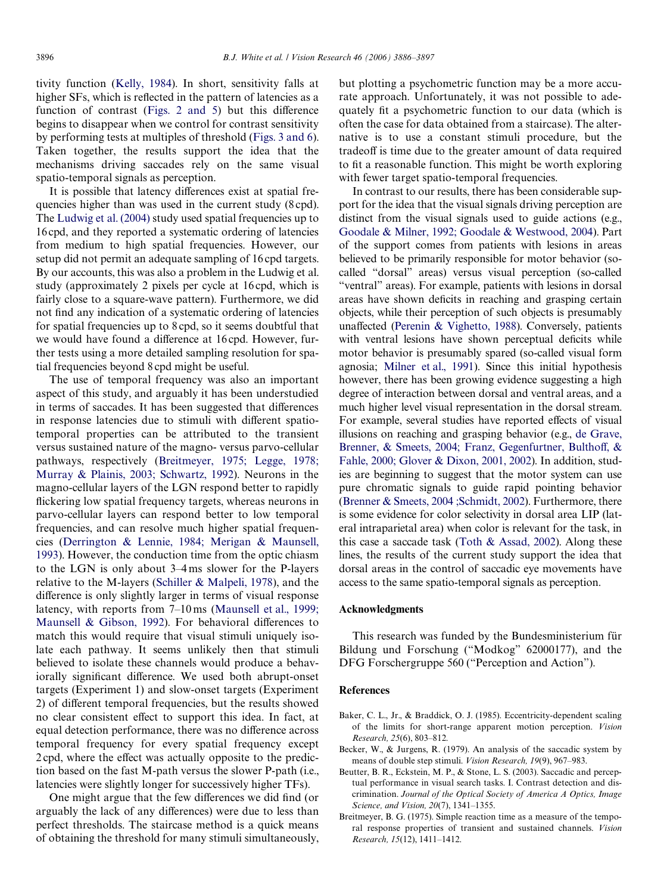tivity function ([Kelly, 1984\)](#page-11-19). In short, sensitivity falls at higher SFs, which is reflected in the pattern of latencies as a function of contrast ([Figs. 2 and 5](#page-4-0)) but this difference begins to disappear when we control for contrast sensitivity by performing tests at multiples of threshold ([Figs. 3 and 6](#page-5-0)). Taken together, the results support the idea that the mechanisms driving saccades rely on the same visual spatio-temporal signals as perception.

It is possible that latency differences exist at spatial frequencies higher than was used in the current study (8 cpd). The [Ludwig et al. \(2004\)](#page-11-12) study used spatial frequencies up to 16 cpd, and they reported a systematic ordering of latencies from medium to high spatial frequencies. However, our setup did not permit an adequate sampling of 16 cpd targets. By our accounts, this was also a problem in the Ludwig et al. study (approximately 2 pixels per cycle at 16 cpd, which is fairly close to a square-wave pattern). Furthermore, we did not find any indication of a systematic ordering of latencies for spatial frequencies up to 8 cpd, so it seems doubtful that we would have found a difference at 16 cpd. However, further tests using a more detailed sampling resolution for spatial frequencies beyond 8 cpd might be useful.

The use of temporal frequency was also an important aspect of this study, and arguably it has been understudied in terms of saccades. It has been suggested that differences in response latencies due to stimuli with different spatiotemporal properties can be attributed to the transient versus sustained nature of the magno- versus parvo-cellular pathways, respectively ([Breitmeyer, 1975; Legge, 1978;](#page-10-0) [Murray & Plainis, 2003; Schwartz, 1992\)](#page-10-0). Neurons in the magno-cellular layers of the LGN respond better to rapidly flickering low spatial frequency targets, whereas neurons in parvo-cellular layers can respond better to low temporal frequencies, and can resolve much higher spatial frequencies ([Derrington & Lennie, 1984; Merigan & Maunsell,](#page-11-14) [1993\)](#page-11-14). However, the conduction time from the optic chiasm to the LGN is only about 3–4 ms slower for the P-layers relative to the M-layers ([Schiller & Malpeli, 1978\)](#page-11-20), and the difference is only slightly larger in terms of visual response latency, with reports from 7–10 ms [\(Maunsell et al., 1999;](#page-11-21) [Maunsell & Gibson, 1992\)](#page-11-21). For behavioral differences to match this would require that visual stimuli uniquely isolate each pathway. It seems unlikely then that stimuli believed to isolate these channels would produce a behaviorally significant difference. We used both abrupt-onset targets (Experiment 1) and slow-onset targets (Experiment 2) of different temporal frequencies, but the results showed no clear consistent effect to support this idea. In fact, at equal detection performance, there was no difference across temporal frequency for every spatial frequency except 2 cpd, where the effect was actually opposite to the prediction based on the fast M-path versus the slower P-path (i.e., latencies were slightly longer for successively higher TFs).

One might argue that the few differences we did find (or arguably the lack of any differences) were due to less than perfect thresholds. The staircase method is a quick means of obtaining the threshold for many stimuli simultaneously, but plotting a psychometric function may be a more accurate approach. Unfortunately, it was not possible to adequately fit a psychometric function to our data (which is often the case for data obtained from a staircase). The alternative is to use a constant stimuli procedure, but the tradeoff is time due to the greater amount of data required to fit a reasonable function. This might be worth exploring with fewer target spatio-temporal frequencies.

In contrast to our results, there has been considerable support for the idea that the visual signals driving perception are distinct from the visual signals used to guide actions (e.g., [Goodale & Milner, 1992; Goodale & Westwood, 2004](#page-11-22)). Part of the support comes from patients with lesions in areas believed to be primarily responsible for motor behavior (socalled "dorsal" areas) versus visual perception (so-called "ventral" areas). For example, patients with lesions in dorsal areas have shown deficits in reaching and grasping certain objects, while their perception of such objects is presumably unaffected ([Perenin & Vighetto, 1988](#page-11-23)). Conversely, patients with ventral lesions have shown perceptual deficits while motor behavior is presumably spared (so-called visual form agnosia; [Milner et al., 1991](#page-11-24)). Since this initial hypothesis however, there has been growing evidence suggesting a high degree of interaction between dorsal and ventral areas, and a much higher level visual representation in the dorsal stream. For example, several studies have reported effects of visual illusions on reaching and grasping behavior (e.g., [de Grave,](#page-11-25) [Brenner, & Smeets, 2004; Franz, Gegenfurtner, Bultho](#page-11-25)ff[, &](#page-11-25) [Fahle, 2000; Glover & Dixon, 2001, 2002](#page-11-25)). In addition, studies are beginning to suggest that the motor system can use pure chromatic signals to guide rapid pointing behavior ([Brenner & Smeets, 2004 ;Schmidt, 2002](#page-11-26)). Furthermore, there is some evidence for color selectivity in dorsal area LIP (lateral intraparietal area) when color is relevant for the task, in this case a saccade task [\(Toth & Assad, 2002\)](#page-11-27). Along these lines, the results of the current study support the idea that dorsal areas in the control of saccadic eye movements have access to the same spatio-temporal signals as perception.

#### **Acknowledgments**

This research was funded by the Bundesministerium für Bildung und Forschung ("Modkog" 62000177), and the DFG Forschergruppe 560 ("Perception and Action").

#### **References**

- <span id="page-10-3"></span>Baker, C. L., Jr., & Braddick, O. J. (1985). Eccentricity-dependent scaling of the limits for short-range apparent motion perception. *Vision Research, 25*(6), 803–812.
- <span id="page-10-1"></span>Becker, W., & Jurgens, R. (1979). An analysis of the saccadic system by means of double step stimuli. *Vision Research, 19*(9), 967–983.
- <span id="page-10-2"></span>Beutter, B. R., Eckstein, M. P., & Stone, L. S. (2003). Saccadic and perceptual performance in visual search tasks. I. Contrast detection and discrimination. *Journal of the Optical Society of America A Optics, Image Science, and Vision, 20*(7), 1341–1355.
- <span id="page-10-0"></span>Breitmeyer, B. G. (1975). Simple reaction time as a measure of the temporal response properties of transient and sustained channels. *Vision Research, 15*(12), 1411–1412.